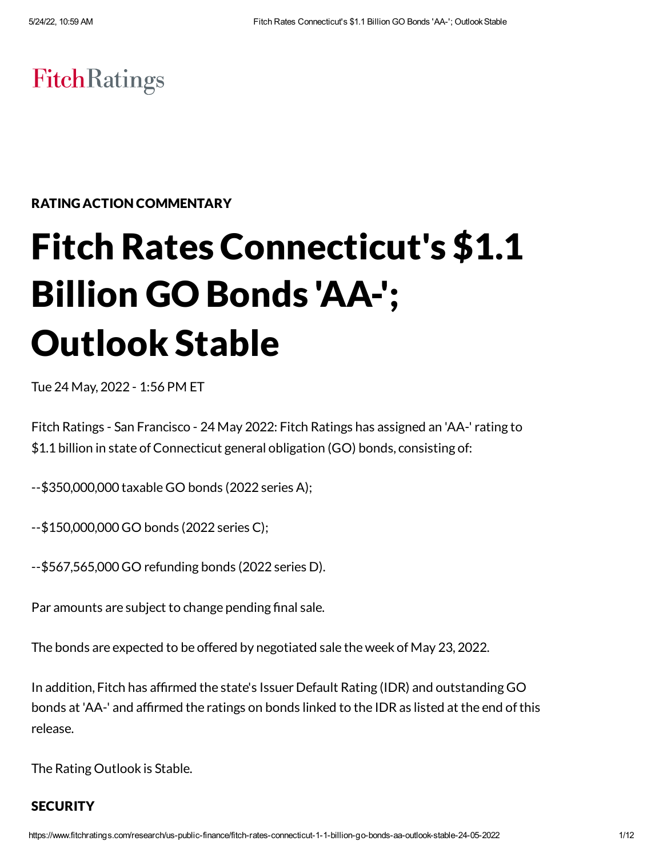# **FitchRatings**

# RATING ACTION COMMENTARY

# Fitch Rates Connecticut's \$1.1 Billion GO Bonds 'AA-'; Outlook Stable

Tue 24 May, 2022 - 1:56 PM ET

Fitch Ratings - San Francisco - 24 May 2022: Fitch Ratings has assigned an 'AA-' rating to \$1.1 billion in state of Connecticut general obligation (GO) bonds, consisting of:

--\$350,000,000 taxable GO bonds (2022 series A);

--\$150,000,000 GO bonds (2022 series C);

--\$567,565,000 GO refunding bonds (2022 series D).

Par amounts are subject to change pending final sale.

The bonds are expected to be offered by negotiated sale the week of May 23, 2022.

In addition, Fitch has affirmed the state's Issuer Default Rating (IDR) and outstanding GO bonds at 'AA-' and affirmed the ratings on bonds linked to the IDR as listed at the end of this release.

The Rating Outlook is Stable.

# **SECURITY**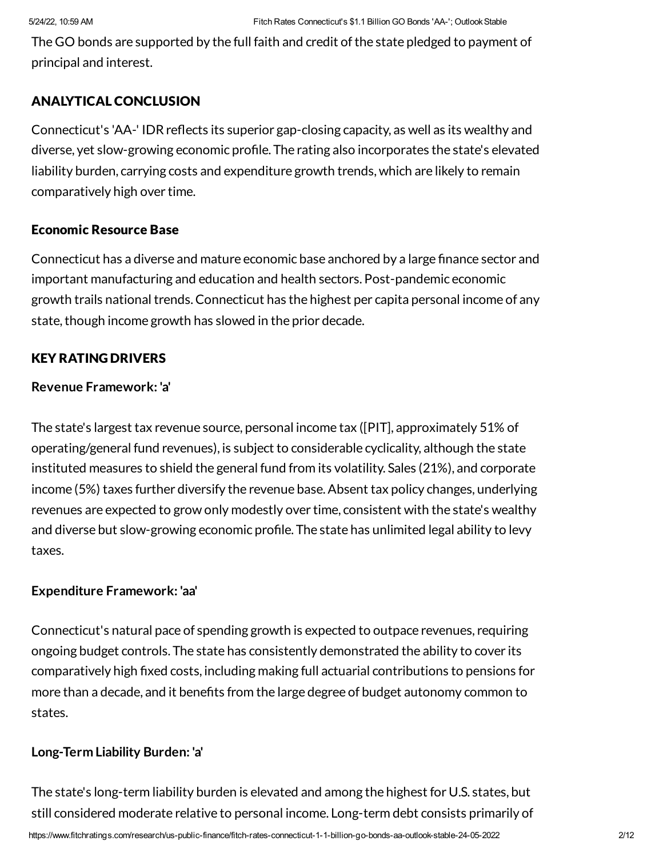The GO bonds are supported by the full faith and credit of the state pledged to payment of principal and interest.

# ANALYTICAL CONCLUSION

Connecticut's 'AA-' IDR reflects its superior gap-closing capacity, as well as its wealthy and diverse, yet slow-growing economic profile. The rating also incorporates the state's elevated liability burden, carrying costs and expenditure growth trends, which are likely to remain comparatively high over time.

#### Economic Resource Base

Connecticut has a diverse and mature economic base anchored by a large finance sector and important manufacturing and education and health sectors. Post-pandemic economic growth trails national trends. Connecticut has the highest per capita personal income of any state, though income growth has slowed in the prior decade.

# KEY RATING DRIVERS

#### **Revenue Framework: 'a'**

The state's largest tax revenue source, personal income tax ([PIT], approximately 51% of operating/general fund revenues), is subject to considerable cyclicality, although the state instituted measures to shield the general fund from its volatility. Sales (21%), and corporate income (5%) taxes further diversify the revenue base. Absent tax policy changes, underlying revenues are expected to grow only modestly over time, consistent with the state's wealthy and diverse but slow-growing economic profile. The state has unlimited legal ability to levy taxes.

#### **Expenditure Framework: 'aa'**

Connecticut's natural pace of spending growth is expected to outpace revenues, requiring ongoing budget controls. The state has consistently demonstrated the ability to cover its comparatively high fixed costs, including making full actuarial contributions to pensions for more than a decade, and it benefits from the large degree of budget autonomy common to states.

### **Long-Term Liability Burden: 'a'**

The state's long-term liability burden is elevated and among the highest for U.S. states, but still considered moderate relative to personal income. Long-term debt consists primarily of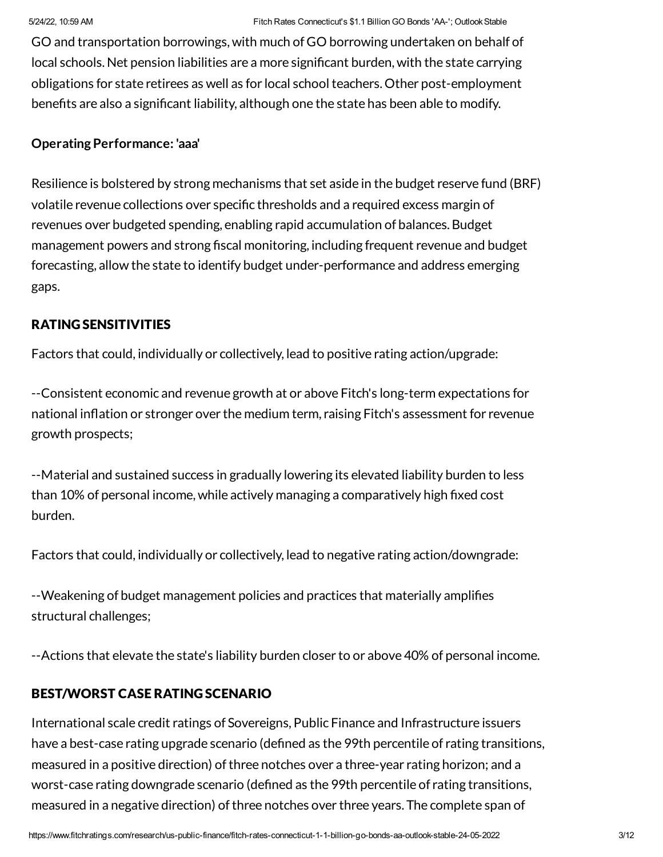GO and transportation borrowings, with much of GO borrowing undertaken on behalf of local schools. Net pension liabilities are a more significant burden, with the state carrying obligations for state retirees as well as for local school teachers. Other post-employment benefits are also a significant liability, although one the state has been able to modify.

#### **Operating Performance: 'aaa'**

Resilience is bolstered by strong mechanisms that set aside in the budget reserve fund (BRF) volatile revenue collections over specific thresholds and a required excess margin of revenues over budgeted spending, enabling rapid accumulation of balances. Budget management powers and strong fiscal monitoring, including frequent revenue and budget forecasting, allow the state to identify budget under-performance and address emerging gaps.

# RATING SENSITIVITIES

Factors that could, individually or collectively, lead to positive rating action/upgrade:

--Consistent economic and revenue growth at or above Fitch's long-term expectations for national inflation or stronger over the medium term, raising Fitch's assessment for revenue growth prospects;

--Material and sustained success in gradually lowering its elevated liability burden to less than 10% of personal income, while actively managing a comparatively high fixed cost burden.

Factors that could, individually or collectively, lead to negative rating action/downgrade:

--Weakening of budget management policies and practices that materially amplifies structural challenges;

--Actions that elevate the state's liability burden closer to or above 40% of personal income.

# BEST/WORST CASE RATING SCENARIO

International scale credit ratings of Sovereigns, Public Finance and Infrastructure issuers have a best-case rating upgrade scenario (defined as the 99th percentile of rating transitions, measured in a positive direction) of three notches over a three-year rating horizon; and a worst-case rating downgrade scenario (defined as the 99th percentile of rating transitions, measured in a negative direction) of three notches over three years. The complete span of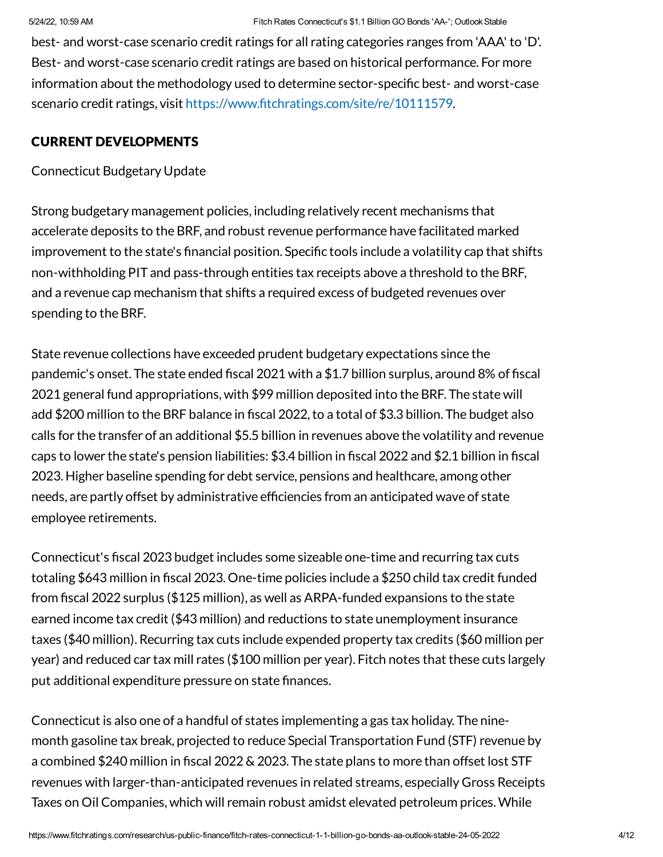best- and worst-case scenario credit ratings for all rating categories ranges from 'AAA' to 'D'. Best- and worst-case scenario credit ratings are based on historical performance. For more information about the methodology used to determine sector-specific best- and worst-case scenario credit ratings, visit <https://www.fitchratings.com/site/re/10111579>.

# CURRENT DEVELOPMENTS

Connecticut Budgetary Update

Strong budgetary management policies, including relatively recent mechanisms that accelerate deposits to the BRF, and robust revenue performance have facilitated marked improvement to the state's financial position. Specific tools include a volatility cap that shifts non-withholding PIT and pass-through entities tax receipts above a threshold to the BRF, and a revenue cap mechanism that shifts a required excess of budgeted revenues over spending to the BRF.

State revenue collections have exceeded prudent budgetary expectations since the pandemic's onset. The state ended fiscal 2021 with a \$1.7 billion surplus, around 8% of fiscal 2021 general fund appropriations, with \$99 million deposited into the BRF. The state will add \$200 million to the BRF balance in fiscal 2022, to a total of \$3.3 billion. The budget also calls for the transfer of an additional \$5.5 billion in revenues above the volatility and revenue caps to lower the state's pension liabilities: \$3.4 billion in fiscal 2022 and \$2.1 billion in fiscal 2023. Higher baseline spending for debt service, pensions and healthcare, among other needs, are partly offset by administrative efficiencies from an anticipated wave of state employee retirements.

Connecticut's fiscal 2023 budget includes some sizeable one-time and recurring tax cuts totaling \$643 million in fiscal 2023. One-time policies include a \$250 child tax credit funded from fiscal 2022 surplus (\$125 million), as well as ARPA-funded expansions to the state earned income tax credit (\$43 million) and reductions to state unemployment insurance taxes (\$40 million). Recurring tax cuts include expended property tax credits (\$60 million per year) and reduced car tax mill rates (\$100 million per year). Fitch notes that these cuts largely put additional expenditure pressure on state finances.

Connecticut is also one of a handful of states implementing a gas tax holiday. The ninemonth gasoline tax break, projected to reduce Special Transportation Fund (STF) revenue by a combined \$240 million in fiscal 2022 & 2023. The state plans to more than offset lost STF revenues with larger-than-anticipated revenues in related streams, especially Gross Receipts Taxes on Oil Companies, which will remain robust amidst elevated petroleum prices.While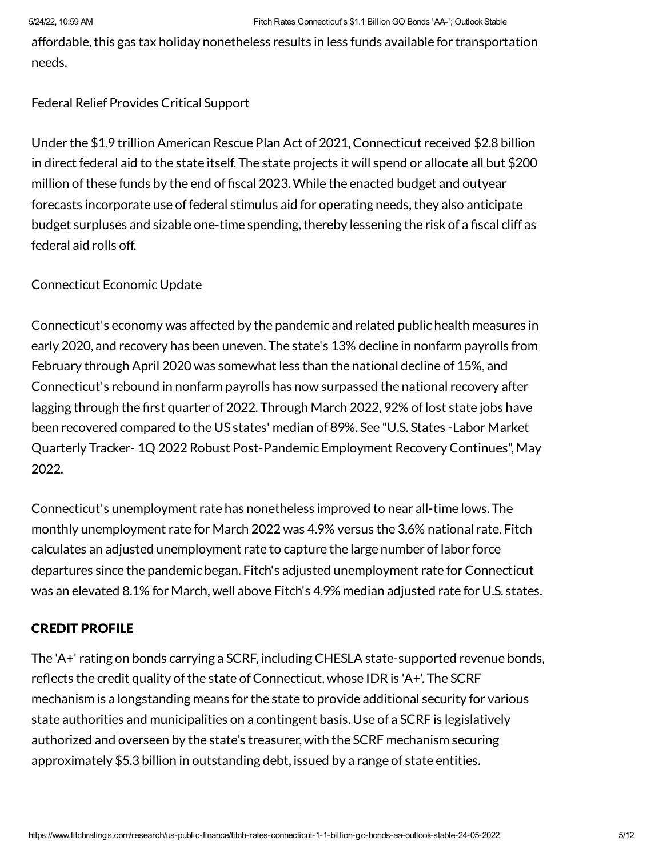affordable, this gas tax holiday nonetheless results in less funds available for transportation needs.

# Federal Relief Provides Critical Support

Under the \$1.9 trillion American Rescue Plan Act of 2021, Connecticut received \$2.8 billion in direct federal aid to the state itself. The state projects it will spend or allocate all but \$200 million ofthese funds by the end of fiscal 2023.While the enacted budget and outyear forecasts incorporate use of federal stimulus aid for operating needs, they also anticipate budget surpluses and sizable one-time spending, thereby lessening the risk of a fiscal cliff as federal aid rolls off.

# Connecticut Economic Update

Connecticut's economy was affected by the pandemic and related public health measures in early 2020, and recovery has been uneven. The state's 13% decline in nonfarm payrolls from February through April 2020 was somewhat less than the national decline of 15%, and Connecticut's rebound in nonfarm payrolls has now surpassed the national recovery after lagging through the first quarter of 2022. Through March 2022, 92% of lost state jobs have been recovered compared to the US states' median of 89%. See "U.S. States -Labor Market Quarterly Tracker- 1Q 2022 Robust Post-Pandemic Employment Recovery Continues", May 2022.

Connecticut's unemployment rate has nonetheless improved to near all-time lows. The monthly unemployment rate for March 2022 was 4.9% versus the 3.6% national rate. Fitch calculates an adjusted unemployment rate to capture the large number oflabor force departures since the pandemic began. Fitch's adjusted unemployment rate for Connecticut was an elevated 8.1% for March, well above Fitch's 4.9% median adjusted rate for U.S. states.

# CREDIT PROFILE

The 'A+' rating on bonds carrying a SCRF, including CHESLA state-supported revenue bonds, reflects the credit quality of the state of Connecticut, whose IDR is 'A+'. The SCRF mechanism is a longstanding means for the state to provide additional security for various state authorities and municipalities on a contingent basis. Use of a SCRF is legislatively authorized and overseen by the state's treasurer, with the SCRF mechanism securing approximately \$5.3 billion in outstanding debt, issued by a range of state entities.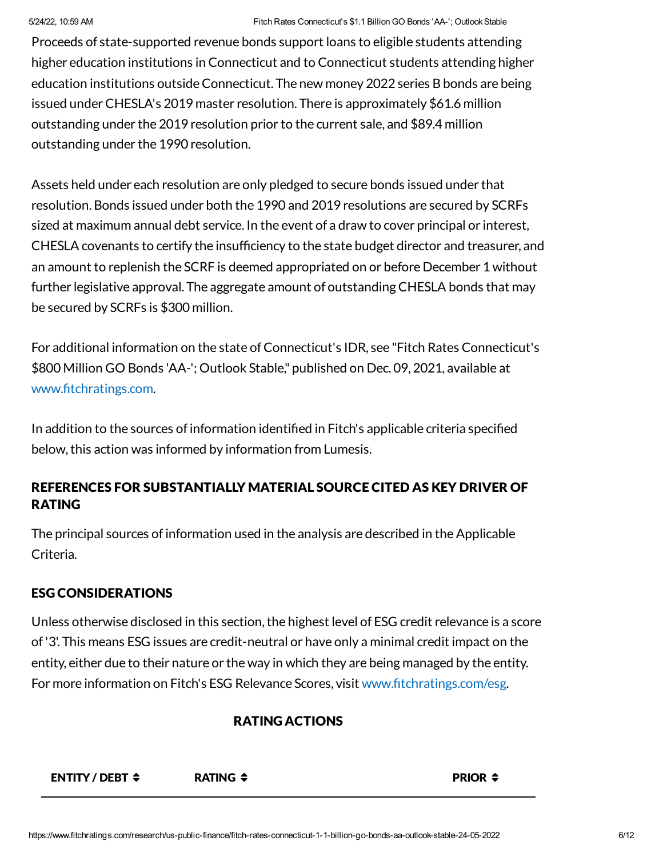Proceeds of state-supported revenue bonds support loans to eligible students attending higher education institutions in Connecticut and to Connecticut students attending higher education institutions outside Connecticut. The new money 2022 series B bonds are being issued underCHESLA's 2019 master resolution. There is approximately \$61.6 million outstanding under the 2019 resolution prior to the current sale, and \$89.4 million outstanding under the 1990 resolution.

Assets held under each resolution are only pledged to secure bonds issued under that resolution. Bonds issued under both the 1990 and 2019 resolutions are secured by SCRFs sized at maximum annual debt service. In the event of a draw to cover principal or interest, CHESLA covenants to certify the insufficiency to the state budget director and treasurer, and an amount to replenish the SCRF is deemed appropriated on or before December 1 without further legislative approval. The aggregate amount of outstanding CHESLA bonds that may be secured by SCRFs is \$300 million.

For additional information on the state of Connecticut's IDR, see "Fitch Rates Connecticut's \$800 Million GO Bonds 'AA-'; Outlook Stable," published on Dec. 09, 2021, available at [www.fitchratings.com](http://www.fitchratings.com/).

In addition to the sources ofinformation identified in Fitch's applicable criteria specified below, this action was informed by information from Lumesis.

# REFERENCES FOR SUBSTANTIALLY MATERIAL SOURCE CITED AS KEY DRIVER OF RATING

The principal sources of information used in the analysis are described in the Applicable Criteria.

# ESG CONSIDERATIONS

Unless otherwise disclosed in this section, the highest level of ESG credit relevance is a score of'3'. This means ESG issues are credit-neutral or have only a minimal credit impact on the entity, either due to their nature or the way in which they are being managed by the entity. For more information on Fitch's ESG Relevance Scores, visit [www.fitchratings.com/esg.](http://www.fitchratings.com/esg)

# RATING ACTIONS

ENTITY / DEBT  $\div$  RATING  $\div$  RATING  $\div$  PRIOR  $\div$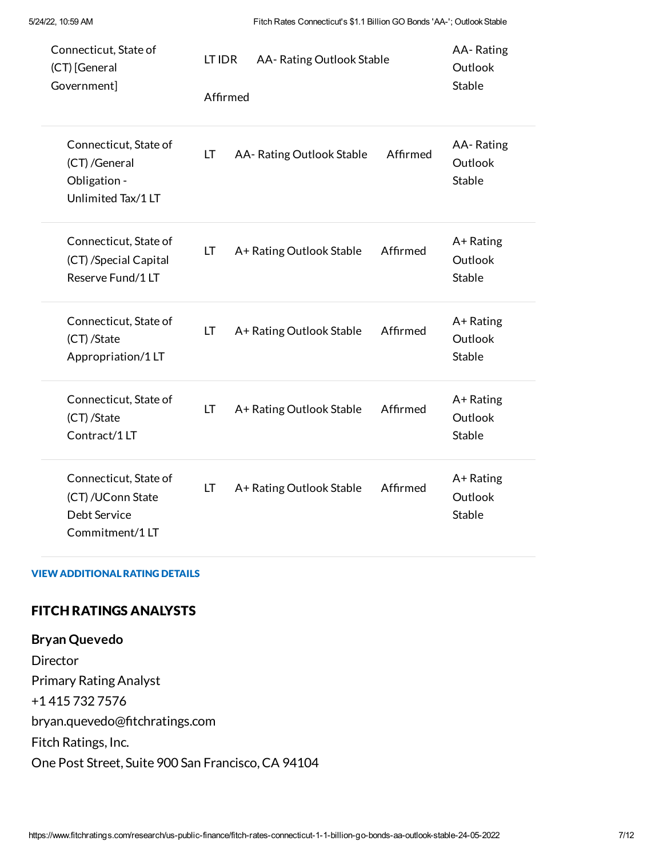| Connecticut, State of<br>(CT) [General<br>Government]                         |    | LT IDR<br>AA-Rating Outlook Stable<br>Affirmed |          | AA-Rating<br>Outlook<br>Stable        |
|-------------------------------------------------------------------------------|----|------------------------------------------------|----------|---------------------------------------|
| Connecticut, State of<br>(CT) /General<br>Obligation -<br>Unlimited Tax/1 LT  | LT | AA-Rating Outlook Stable                       | Affirmed | AA-Rating<br>Outlook<br><b>Stable</b> |
| Connecticut, State of<br>(CT) /Special Capital<br>Reserve Fund/1 LT           | LT | A+ Rating Outlook Stable                       | Affirmed | A+ Rating<br>Outlook<br>Stable        |
| Connecticut, State of<br>(CT) /State<br>Appropriation/1LT                     | LT | A+ Rating Outlook Stable                       | Affirmed | A+ Rating<br>Outlook<br>Stable        |
| Connecticut, State of<br>(CT)/State<br>Contract/1LT                           | LT | A+ Rating Outlook Stable                       | Affirmed | A+ Rating<br>Outlook<br>Stable        |
| Connecticut, State of<br>(CT) / UConn State<br>Debt Service<br>Commitment/1LT | LT | A+ Rating Outlook Stable                       | Affirmed | A+ Rating<br>Outlook<br>Stable        |

#### VIEW ADDITIONALRATING DETAILS

# FITCH RATINGS ANALYSTS

**Bryan Quevedo** Director Primary Rating Analyst +1 415 732 7576 bryan.quevedo@fitchratings.com Fitch Ratings, Inc. One Post Street, Suite 900 San Francisco,CA 94104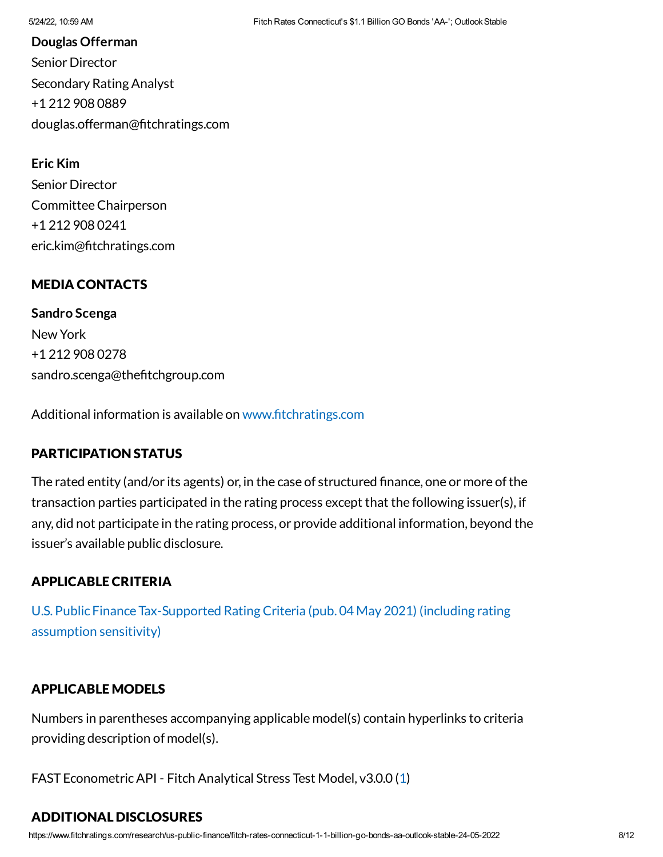# **Douglas Offerman** Senior Director Secondary Rating Analyst

+1 212 908 0889 douglas.offerman@fitchratings.com

### **Eric Kim**

Senior Director CommitteeChairperson +1 212 908 0241 eric.kim@fitchratings.com

### MEDIA CONTACTS

**Sandro Scenga** New York +1 212 908 0278 sandro.scenga@thefitchgroup.com

Additional information is available on [www.fitchratings.com](http://www.fitchratings.com/)

# PARTICIPATION STATUS

The rated entity (and/or its agents) or, in the case of structured finance, one or more of the transaction parties participated in the rating process except that the following issuer(s), if any, did not participate in the rating process, or provide additional information, beyond the issuer's available public disclosure.

# APPLICABLE CRITERIA

U.S. Public Finance [Tax-Supported](https://www.fitchratings.com/research/us-public-finance/us-public-finance-tax-supported-rating-criteria-04-05-2021) Rating Criteria (pub. 04 May 2021) (including rating assumption sensitivity)

# APPLICABLE MODELS

Numbers in parentheses accompanying applicable model(s) contain hyperlinks to criteria providing description of model(s).

FAST EconometricAPI - Fitch Analytical Stress Test Model, v3.0.0 ([1\)](https://www.fitchratings.com/research/us-public-finance/us-public-finance-tax-supported-rating-criteria-04-05-2021)

# ADDITIONAL DISCLOSURES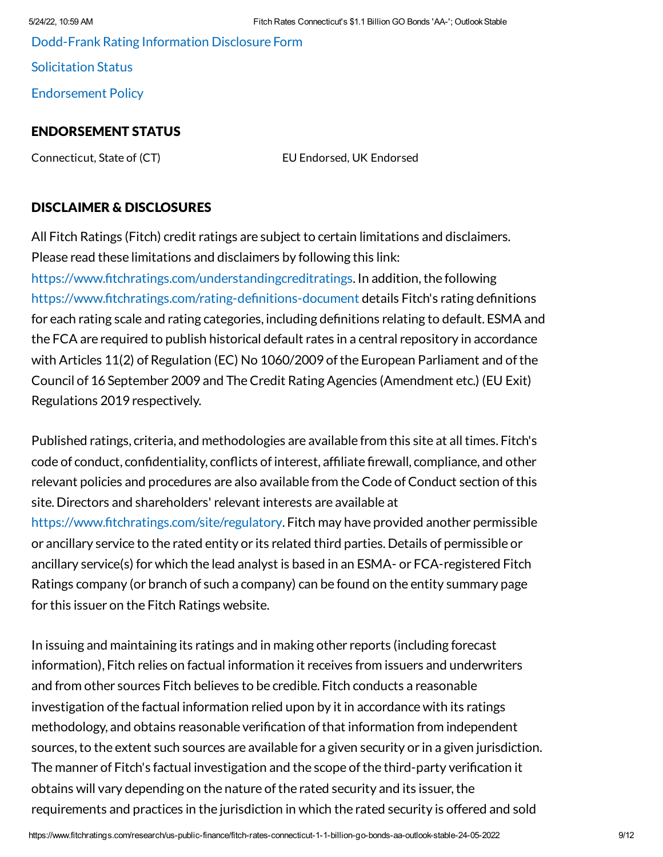[Dodd-Frank](https://www.fitchratings.com/research/us-public-finance/fitch-rates-connecticut-1-1-billion-go-bonds-aa-outlook-stable-24-05-2022/dodd-frank-disclosure) Rating Information Disclosure Form

Solicitation Status

[Endorsement](#page-10-0) Policy

#### ENDORSEMENT STATUS

Connecticut, State of (CT) EU Endorsed, UK Endorsed

### DISCLAIMER & DISCLOSURES

All Fitch Ratings (Fitch) credit ratings are subject to certain limitations and disclaimers. Please read these limitations and disclaimers by following this link:

[https://www.fitchratings.com/understandingcreditratings](https://www.fitchratings.com/UNDERSTANDINGCREDITRATINGS). In addition, the following [https://www.fitchratings.com/rating-definitions-document](https://www.fitchratings.com/RATING-DEFINITIONS-DOCUMENT) details Fitch's rating definitions for each rating scale and rating categories, including definitions relating to default. ESMA and the FCA are required to publish historical default rates in a central repository in accordance with Articles 11(2) of Regulation (EC) No 1060/2009 of the European Parliament and of the Council of 16 September 2009 and TheCredit Rating Agencies (Amendment etc.) (EU Exit) Regulations 2019 respectively.

Published ratings, criteria, and methodologies are available from this site at all times. Fitch's code of conduct, confidentiality, conflicts of interest, affiliate firewall, compliance, and other relevant policies and procedures are also available from the Code of Conduct section of this site. Directors and shareholders' relevant interests are available at [https://www.fitchratings.com/site/regulatory.](https://www.fitchratings.com/SITE/REGULATORY) Fitch may have provided another permissible or ancillary service to the rated entity or its related third parties. Details of permissible or ancillary service(s) for which the lead analyst is based in an ESMA- or FCA-registered Fitch Ratings company (or branch of such a company) can be found on the entity summary page for this issuer on the Fitch Ratings website.

In issuing and maintaining its ratings and in making other reports (including forecast information), Fitch relies on factual information it receives from issuers and underwriters and from other sources Fitch believes to be credible. Fitch conducts a reasonable investigation of the factual information relied upon by it in accordance with its ratings methodology, and obtains reasonable verification ofthat information from independent sources, to the extent such sources are available for a given security or in a given jurisdiction. The manner of Fitch's factual investigation and the scope ofthe third-party verification it obtains will vary depending on the nature of the rated security and its issuer, the requirements and practices in the jurisdiction in which the rated security is offered and sold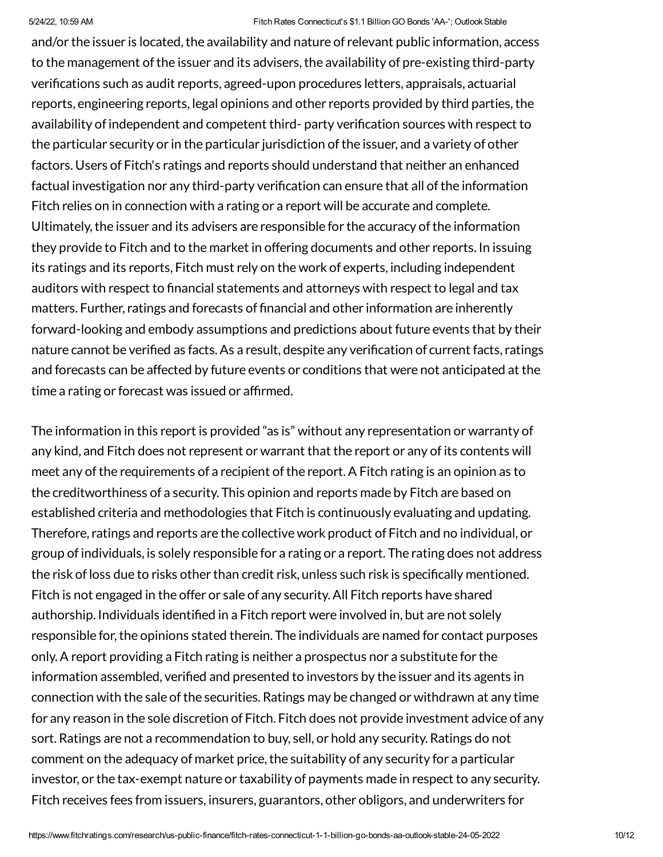and/or the issuer is located, the availability and nature of relevant public information, access to the management of the issuer and its advisers, the availability of pre-existing third-party verifications such as audit reports, agreed-upon procedures letters, appraisals, actuarial reports, engineering reports, legal opinions and other reports provided by third parties,the availability of independent and competent third- party verification sources with respect to the particular security or in the particular jurisdiction ofthe issuer, and a variety of other factors. Users of Fitch's ratings and reports should understand that neither an enhanced factual investigation nor any third-party verification can ensure that all of the information Fitch relies on in connection with a rating or a report will be accurate and complete. Ultimately, the issuer and its advisers are responsible for the accuracy of the information they provide to Fitch and to the market in offering documents and other reports. In issuing its ratings and its reports, Fitch must rely on the work of experts, including independent auditors with respect to financial statements and attorneys with respect to legal and tax matters. Further, ratings and forecasts of financial and other information are inherently forward-looking and embody assumptions and predictions about future events that by their nature cannot be verified as facts. As a result, despite any verification of current facts, ratings and forecasts can be affected by future events or conditions that were not anticipated at the time a rating or forecast was issued or affirmed.

The information in this report is provided "as is" without any representation or warranty of any kind, and Fitch does not represent or warrant that the report or any of its contents will meet any of the requirements of a recipient of the report. A Fitch rating is an opinion as to the creditworthiness of a security. This opinion and reports made by Fitch are based on established criteria and methodologies that Fitch is continuously evaluating and updating. Therefore, ratings and reports are the collective work product of Fitch and no individual, or group of individuals, is solely responsible for a rating or a report. The rating does not address the risk ofloss due to risks other than credit risk, unless such risk is specifically mentioned. Fitch is not engaged in the offer or sale of any security.All Fitch reports have shared authorship. Individuals identified in a Fitch report were involved in, but are not solely responsible for, the opinions stated therein. The individuals are named for contact purposes only.A report providing a Fitch rating is neither a prospectus nor a substitute for the information assembled, verified and presented to investors by the issuer and its agents in connection with the sale of the securities. Ratings may be changed or withdrawn at any time for any reason in the sole discretion of Fitch. Fitch does not provide investment advice of any sort. Ratings are not a recommendation to buy, sell, or hold any security. Ratings do not comment on the adequacy of market price, the suitability of any security for a particular investor, or the tax-exempt nature or taxability of payments made in respect to any security. Fitch receives fees from issuers, insurers, guarantors, other obligors, and underwriters for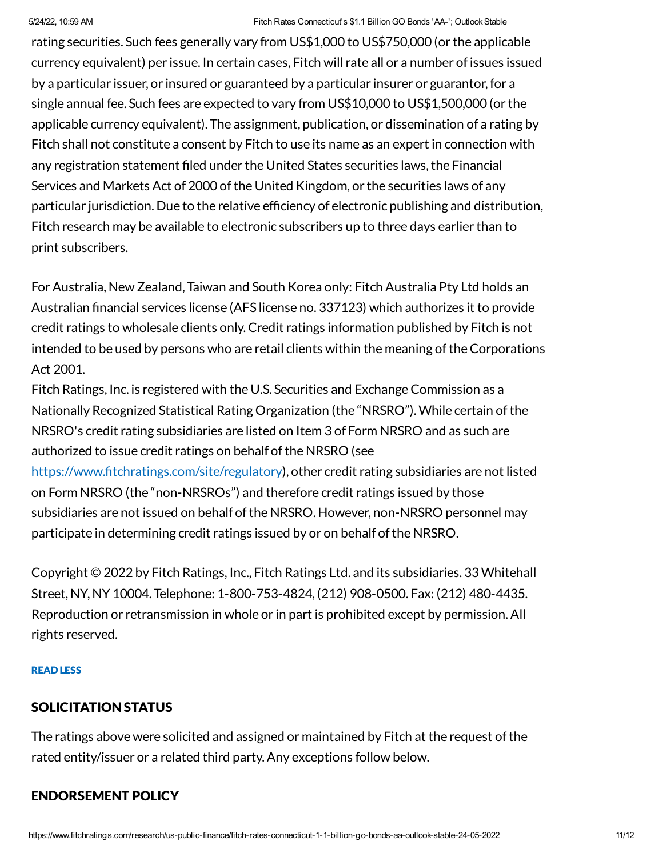rating securities. Such fees generally vary from US\$1,000 to US\$750,000 (or the applicable currency equivalent) per issue. In certain cases, Fitch will rate all or a number of issues issued by a particular issuer, or insured or guaranteed by a particular insurer or guarantor, for a single annual fee. Such fees are expected to vary from US\$10,000 to US\$1,500,000 (or the applicable currency equivalent). The assignment, publication, or dissemination of a rating by Fitch shall not constitute a consent by Fitch to use its name as an expert in connection with any registration statement filed under the United States securities laws, the Financial Services and Markets Act of 2000 of the United Kingdom, or the securities laws of any particular jurisdiction. Due to the relative efficiency of electronic publishing and distribution, Fitch research may be available to electronic subscribers up to three days earlier than to print subscribers.

For Australia, New Zealand, Taiwan and South Korea only: Fitch Australia Pty Ltd holds an Australian financial services license (AFS license no. 337123) which authorizes it to provide credit ratings to wholesale clients only.Credit ratings information published by Fitch is not intended to be used by persons who are retail clients within the meaning of the Corporations Act 2001.

Fitch Ratings, Inc. is registered with the U.S. Securities and Exchange Commission as a Nationally Recognized Statistical Rating Organization (the "NRSRO").While certain ofthe NRSRO's credit rating subsidiaries are listed on Item 3 of Form NRSRO and as such are authorized to issue credit ratings on behalf of the NRSRO (see

[https://www.fitchratings.com/site/regulatory\)](https://www.fitchratings.com/site/regulatory), other credit rating subsidiaries are not listed on Form NRSRO (the "non-NRSROs") and therefore credit ratings issued by those subsidiaries are not issued on behalf of the NRSRO. However, non-NRSRO personnel may participate in determining credit ratings issued by or on behalf ofthe NRSRO.

Copyright © 2022 by Fitch Ratings, Inc., Fitch Ratings Ltd. and its subsidiaries. 33 Whitehall Street, NY, NY 10004. Telephone: 1-800-753-4824, (212) 908-0500. Fax: (212) 480-4435. Reproduction or retransmission in whole or in part is prohibited except by permission.All rights reserved.

#### READ LESS

# SOLICITATION STATUS

The ratings above were solicited and assigned or maintained by Fitch at the request of the rated entity/issuer or a related third party.Any exceptions follow below.

# <span id="page-10-0"></span>ENDORSEMENT POLICY